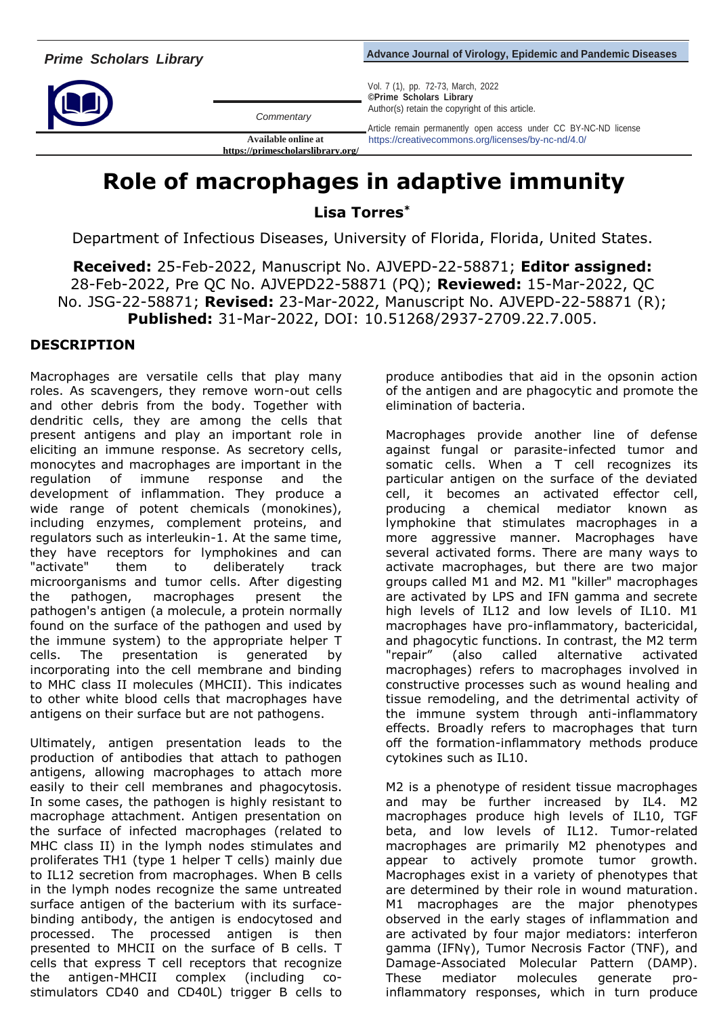*Commentary*

**https://primescholarslibrary.org/** 

*Advance Journal of Virology, Epidemic and Pandemic Diseases* 

Vol. 7 (1), pp. 72-73, March, 2022 **©Prime Scholars Library** Author(s) retain the copyright of this article.

Article remain permanently open access under CC BY-NC-ND license **Available online at** https://creativecommons.org/licenses/by-nc-nd/4.0/

## **Role of macrophages in adaptive immunity**

**Lisa Torres\***

Department of Infectious Diseases, University of Florida, Florida, United States.

**Received:** 25-Feb-2022, Manuscript No. AJVEPD-22-58871; **Editor assigned:**  28-Feb-2022, Pre QC No. AJVEPD22-58871 (PQ); **Reviewed:** 15-Mar-2022, QC No. JSG-22-58871; **Revised:** 23-Mar-2022, Manuscript No. AJVEPD-22-58871 (R); **Published:** 31-Mar-2022, DOI: 10.51268/2937-2709.22.7.005.

## **DESCRIPTION**

Macrophages are versatile cells that play many roles. As scavengers, they remove worn-out cells and other debris from the body. Together with dendritic cells, they are among the cells that present antigens and play an important role in eliciting an immune response. As secretory cells, monocytes and macrophages are important in the regulation of immune response and the development of inflammation. They produce a wide range of potent chemicals (monokines), including enzymes, complement proteins, and regulators such as interleukin-1. At the same time, they have receptors for lymphokines and can "activate" them to deliberately track microorganisms and tumor cells. After digesting the pathogen, macrophages present the pathogen's antigen (a molecule, a protein normally found on the surface of the pathogen and used by the immune system) to the appropriate helper T cells. The presentation is generated by incorporating into the cell membrane and binding to MHC class II molecules (MHCII). This indicates to other white blood cells that macrophages have antigens on their surface but are not pathogens.

Ultimately, antigen presentation leads to the production of antibodies that attach to pathogen antigens, allowing macrophages to attach more easily to their cell membranes and phagocytosis. In some cases, the pathogen is highly resistant to macrophage attachment. Antigen presentation on the surface of infected macrophages (related to MHC class II) in the lymph nodes stimulates and proliferates TH1 (type 1 helper T cells) mainly due to IL12 secretion from macrophages. When B cells in the lymph nodes recognize the same untreated surface antigen of the bacterium with its surfacebinding antibody, the antigen is endocytosed and processed. The processed antigen is then presented to MHCII on the surface of B cells. T cells that express T cell receptors that recognize the antigen-MHCII complex (including costimulators CD40 and CD40L) trigger B cells to

produce antibodies that aid in the opsonin action of the antigen and are phagocytic and promote the elimination of bacteria.

Macrophages provide another line of defense against fungal or parasite-infected tumor and somatic cells. When a T cell recognizes its particular antigen on the surface of the deviated cell, it becomes an activated effector cell, producing a chemical mediator known as lymphokine that stimulates macrophages in a more aggressive manner. Macrophages have several activated forms. There are many ways to activate macrophages, but there are two major groups called M1 and M2. M1 "killer" macrophages are activated by LPS and IFN gamma and secrete high levels of IL12 and low levels of IL10. M1 macrophages have pro-inflammatory, bactericidal, and phagocytic functions. In contrast, the M2 term "repair" (also called alternative activated macrophages) refers to macrophages involved in constructive processes such as wound healing and tissue remodeling, and the detrimental activity of the immune system through anti-inflammatory effects. Broadly refers to macrophages that turn off the formation-inflammatory methods produce cytokines such as IL10.

M2 is a phenotype of resident tissue macrophages and may be further increased by IL4. M2 macrophages produce high levels of IL10, TGF beta, and low levels of IL12. Tumor-related macrophages are primarily M2 phenotypes and appear to actively promote tumor growth. Macrophages exist in a variety of phenotypes that are determined by their role in wound maturation. M1 macrophages are the major phenotypes observed in the early stages of inflammation and are activated by four major mediators: interferon gamma (IFNγ), Tumor Necrosis Factor (TNF), and Damage-Associated Molecular Pattern (DAMP). These mediator molecules generate proinflammatory responses, which in turn produce